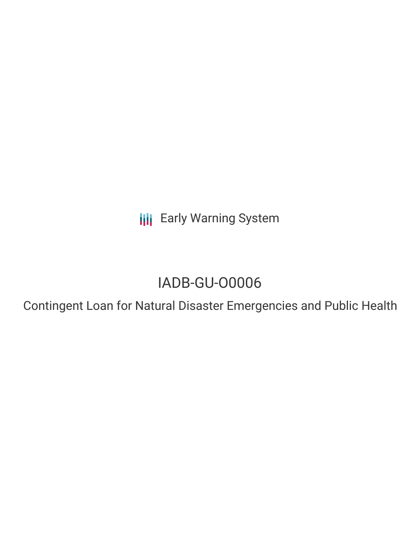**III** Early Warning System

# IADB-GU-O0006

Contingent Loan for Natural Disaster Emergencies and Public Health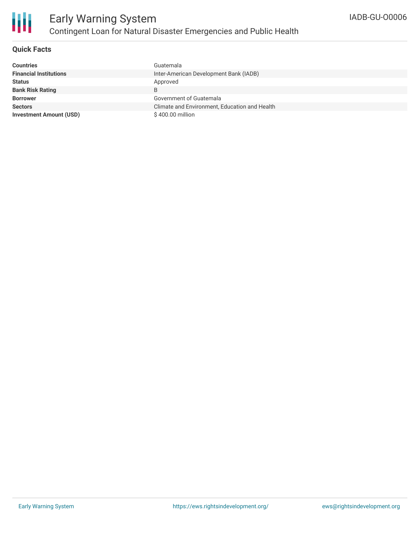

## **Quick Facts**

| <b>Countries</b>               | Guatemala                                     |
|--------------------------------|-----------------------------------------------|
| <b>Financial Institutions</b>  | Inter-American Development Bank (IADB)        |
| <b>Status</b>                  | Approved                                      |
| <b>Bank Risk Rating</b>        | B                                             |
| <b>Borrower</b>                | Government of Guatemala                       |
| <b>Sectors</b>                 | Climate and Environment, Education and Health |
| <b>Investment Amount (USD)</b> | \$400.00 million                              |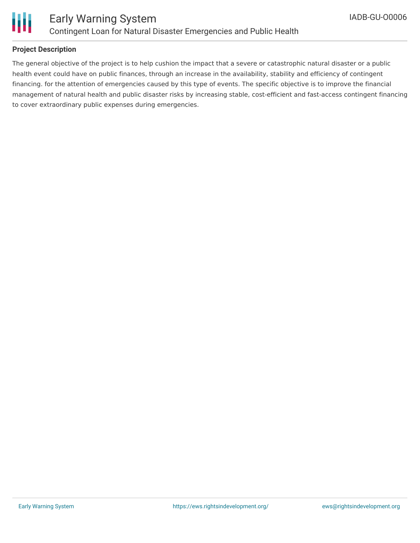

### **Project Description**

The general objective of the project is to help cushion the impact that a severe or catastrophic natural disaster or a public health event could have on public finances, through an increase in the availability, stability and efficiency of contingent financing. for the attention of emergencies caused by this type of events. The specific objective is to improve the financial management of natural health and public disaster risks by increasing stable, cost-efficient and fast-access contingent financing to cover extraordinary public expenses during emergencies.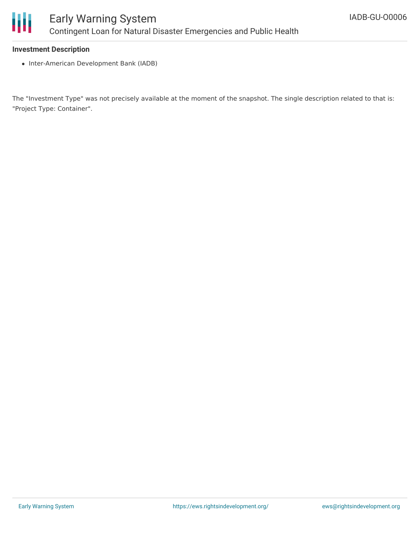

#### **Investment Description**

• Inter-American Development Bank (IADB)

The "Investment Type" was not precisely available at the moment of the snapshot. The single description related to that is: "Project Type: Container".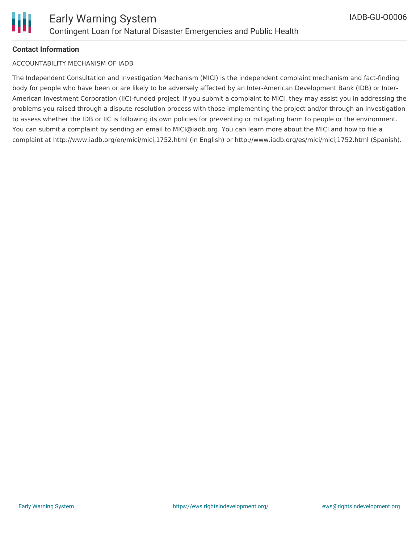

#### **Contact Information**

#### ACCOUNTABILITY MECHANISM OF IADB

The Independent Consultation and Investigation Mechanism (MICI) is the independent complaint mechanism and fact-finding body for people who have been or are likely to be adversely affected by an Inter-American Development Bank (IDB) or Inter-American Investment Corporation (IIC)-funded project. If you submit a complaint to MICI, they may assist you in addressing the problems you raised through a dispute-resolution process with those implementing the project and/or through an investigation to assess whether the IDB or IIC is following its own policies for preventing or mitigating harm to people or the environment. You can submit a complaint by sending an email to MICI@iadb.org. You can learn more about the MICI and how to file a complaint at http://www.iadb.org/en/mici/mici,1752.html (in English) or http://www.iadb.org/es/mici/mici,1752.html (Spanish).